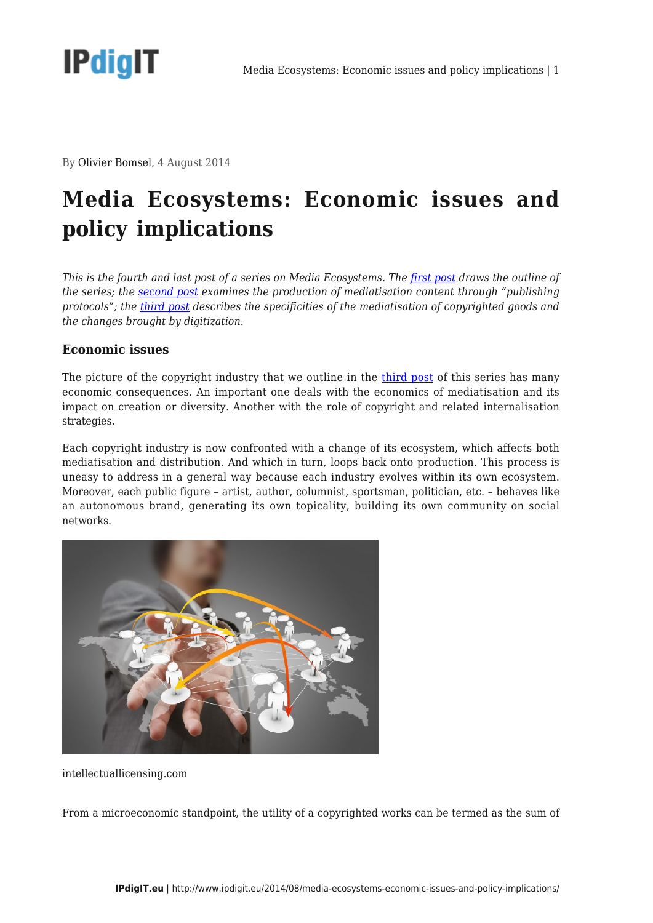

By Olivier Bomsel, 4 August 2014

## **Media Ecosystems: Economic issues and policy implications**

*This is the fourth and last post of a series on Media Ecosystems. The [first post](http://www.ipdigit.eu/2014/07/media-ecosystems-introduction/) draws the outline of the series; the [second post](http://www.ipdigit.eu/2014/07/media-ecosystems-advertising-and-publishing-protocols/) examines the production of mediatisation content through "publishing protocols"; the [third post](http://www.ipdigit.eu/2014/07/media-ecosystems-a-definition/) describes the specificities of the mediatisation of copyrighted goods and the changes brought by digitization.*

## **Economic issues**

The picture of the copyright industry that we outline in the [third post](http://www.ipdigit.eu/2014/07/media-ecosystems-a-definition/) of this series has many economic consequences. An important one deals with the economics of mediatisation and its impact on creation or diversity. Another with the role of copyright and related internalisation strategies.

Each copyright industry is now confronted with a change of its ecosystem, which affects both mediatisation and distribution. And which in turn, loops back onto production. This process is uneasy to address in a general way because each industry evolves within its own ecosystem. Moreover, each public figure – artist, author, columnist, sportsman, politician, etc. – behaves like an autonomous brand, generating its own topicality, building its own community on social networks.



intellectuallicensing.com

From a microeconomic standpoint, the utility of a copyrighted works can be termed as the sum of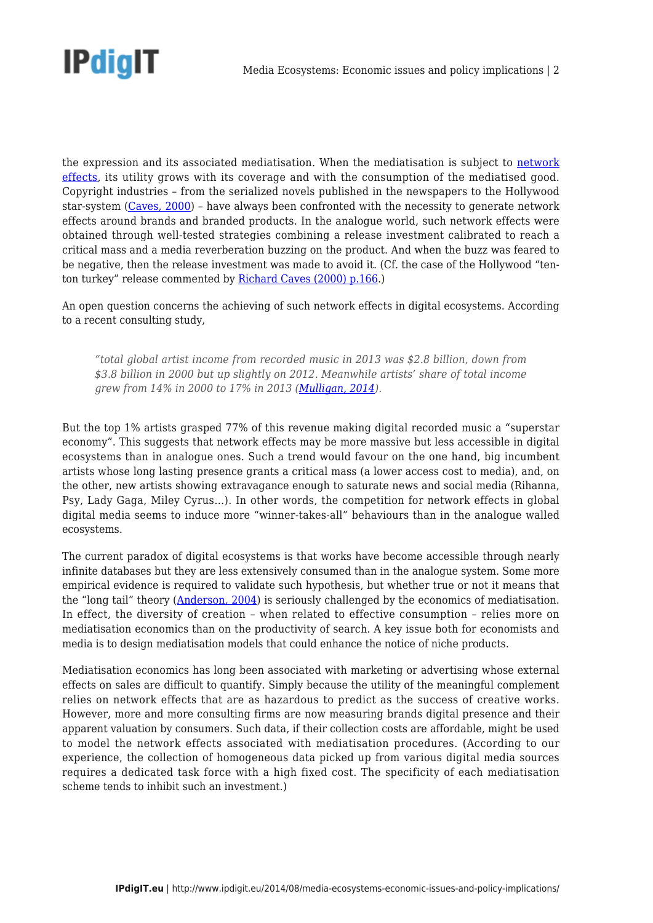

the expression and its associated mediatisation. When the mediatisation is subject to [network](http://www.ipdigit.eu/2012/02/network-effects/) [effects](http://www.ipdigit.eu/2012/02/network-effects/), its utility grows with its coverage and with the consumption of the mediatised good. Copyright industries – from the serialized novels published in the newspapers to the Hollywood star-system ([Caves, 2000\)](http://www.hup.harvard.edu/catalog.php?isbn=9780674008083) – have always been confronted with the necessity to generate network effects around brands and branded products. In the analogue world, such network effects were obtained through well-tested strategies combining a release investment calibrated to reach a critical mass and a media reverberation buzzing on the product. And when the buzz was feared to be negative, then the release investment was made to avoid it. (Cf. the case of the Hollywood "ten-ton turkey" release commented by [Richard Caves \(2000\) p.166.](http://www.hup.harvard.edu/catalog.php?isbn=9780674008083))

An open question concerns the achieving of such network effects in digital ecosystems. According to a recent consulting study,

*"total global artist income from recorded music in 2013 was \$2.8 billion, down from \$3.8 billion in 2000 but up slightly on 2012. Meanwhile artists' share of total income grew from 14% in 2000 to 17% in 2013 ([Mulligan, 2014\)](http://www.promus.dk/files/MIDiA_Consulting_-_The_Death_of_the_Long_Tail.pdf).*

But the top 1% artists grasped 77% of this revenue making digital recorded music a "superstar economy". This suggests that network effects may be more massive but less accessible in digital ecosystems than in analogue ones. Such a trend would favour on the one hand, big incumbent artists whose long lasting presence grants a critical mass (a lower access cost to media), and, on the other, new artists showing extravagance enough to saturate news and social media (Rihanna, Psy, Lady Gaga, Miley Cyrus…). In other words, the competition for network effects in global digital media seems to induce more "winner-takes-all" behaviours than in the analogue walled ecosystems.

The current paradox of digital ecosystems is that works have become accessible through nearly infinite databases but they are less extensively consumed than in the analogue system. Some more empirical evidence is required to validate such hypothesis, but whether true or not it means that the "long tail" theory [\(Anderson, 2004](http://archive.wired.com/wired/archive/12.10/tail.html)) is seriously challenged by the economics of mediatisation. In effect, the diversity of creation – when related to effective consumption – relies more on mediatisation economics than on the productivity of search. A key issue both for economists and media is to design mediatisation models that could enhance the notice of niche products.

Mediatisation economics has long been associated with marketing or advertising whose external effects on sales are difficult to quantify. Simply because the utility of the meaningful complement relies on network effects that are as hazardous to predict as the success of creative works. However, more and more consulting firms are now measuring brands digital presence and their apparent valuation by consumers. Such data, if their collection costs are affordable, might be used to model the network effects associated with mediatisation procedures. (According to our experience, the collection of homogeneous data picked up from various digital media sources requires a dedicated task force with a high fixed cost. The specificity of each mediatisation scheme tends to inhibit such an investment.)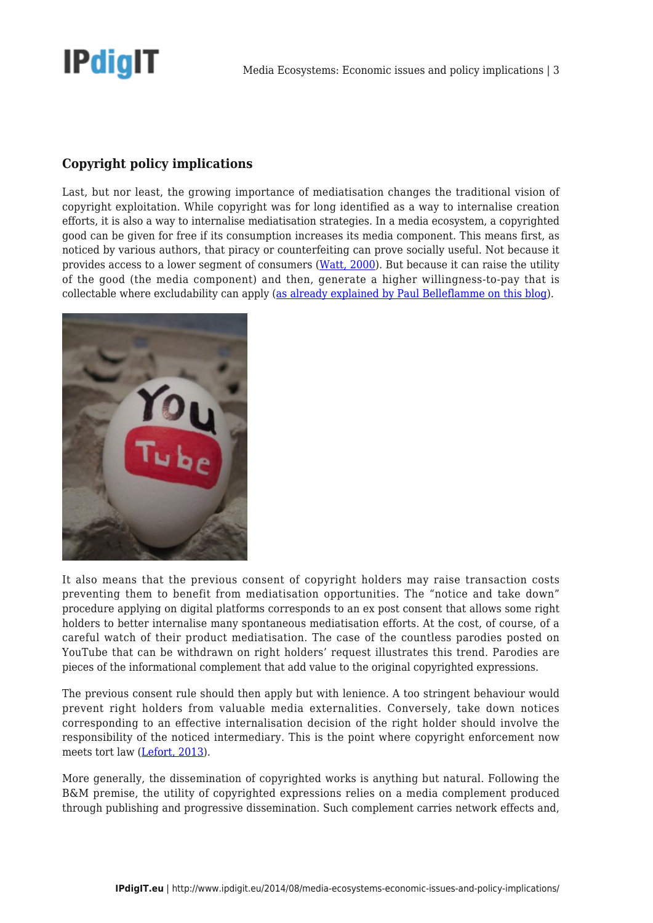

## **Copyright policy implications**

Last, but nor least, the growing importance of mediatisation changes the traditional vision of copyright exploitation. While copyright was for long identified as a way to internalise creation efforts, it is also a way to internalise mediatisation strategies. In a media ecosystem, a copyrighted good can be given for free if its consumption increases its media component. This means first, as noticed by various authors, that piracy or counterfeiting can prove socially useful. Not because it provides access to a lower segment of consumers [\(Watt, 2000](http://books.google.be/books/about/Copyright_and_economic_theory.html?id=_apPAAAAMAAJ&redir_esc=y)). But because it can raise the utility of the good (the media component) and then, generate a higher willingness-to-pay that is collectable where excludability can apply ([as already explained by Paul Belleflamme on this blog\)](http://www.ipdigit.eu/2013/12/the-hidden-treasure-of-piracy/).



It also means that the previous consent of copyright holders may raise transaction costs preventing them to benefit from mediatisation opportunities. The "notice and take down" procedure applying on digital platforms corresponds to an ex post consent that allows some right holders to better internalise many spontaneous mediatisation efforts. At the cost, of course, of a careful watch of their product mediatisation. The case of the countless parodies posted on YouTube that can be withdrawn on right holders' request illustrates this trend. Parodies are pieces of the informational complement that add value to the original copyrighted expressions.

The previous consent rule should then apply but with lenience. A too stringent behaviour would prevent right holders from valuable media externalities. Conversely, take down notices corresponding to an effective internalisation decision of the right holder should involve the responsibility of the noticed intermediary. This is the point where copyright enforcement now meets tort law [\(Lefort, 2013\)](http://www.serci.org/2013/lefort.pdf).

More generally, the dissemination of copyrighted works is anything but natural. Following the B&M premise, the utility of copyrighted expressions relies on a media complement produced through publishing and progressive dissemination. Such complement carries network effects and,